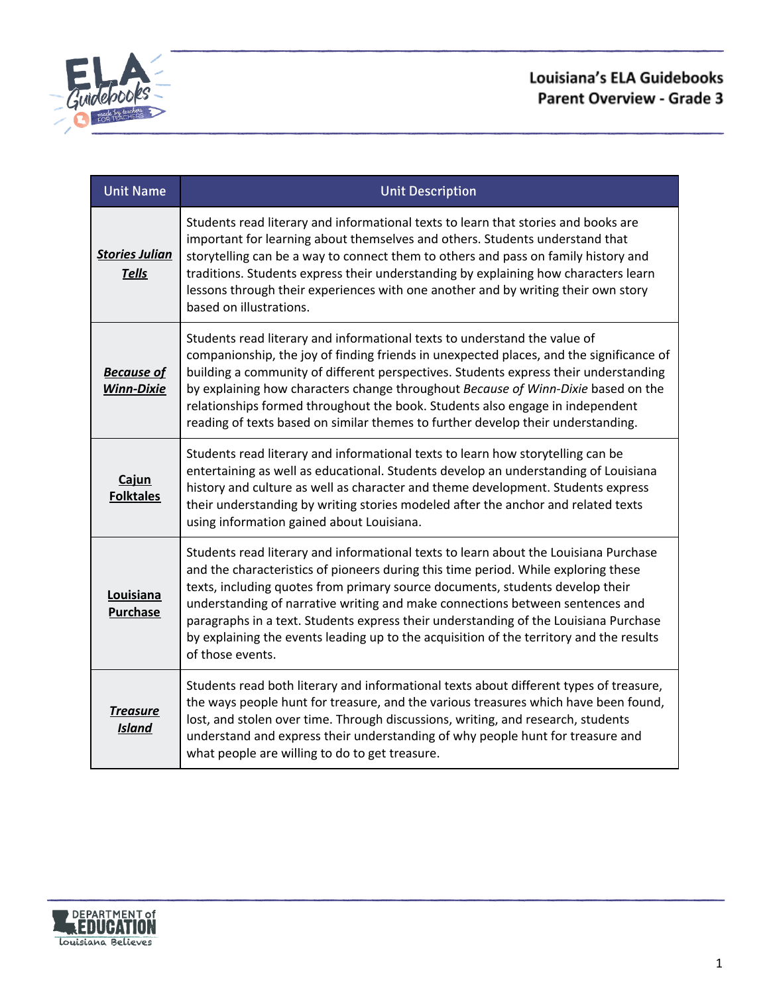

# **Louisiana's ELA Guidebooks** Parent Overview - Grade 3

| <b>Unit Name</b>                       | <b>Unit Description</b>                                                                                                                                                                                                                                                                                                                                                                                                                                                                                                                             |
|----------------------------------------|-----------------------------------------------------------------------------------------------------------------------------------------------------------------------------------------------------------------------------------------------------------------------------------------------------------------------------------------------------------------------------------------------------------------------------------------------------------------------------------------------------------------------------------------------------|
| <b>Stories Julian</b><br><b>Tells</b>  | Students read literary and informational texts to learn that stories and books are<br>important for learning about themselves and others. Students understand that<br>storytelling can be a way to connect them to others and pass on family history and<br>traditions. Students express their understanding by explaining how characters learn<br>lessons through their experiences with one another and by writing their own story<br>based on illustrations.                                                                                     |
| <b>Because of</b><br><b>Winn-Dixie</b> | Students read literary and informational texts to understand the value of<br>companionship, the joy of finding friends in unexpected places, and the significance of<br>building a community of different perspectives. Students express their understanding<br>by explaining how characters change throughout Because of Winn-Dixie based on the<br>relationships formed throughout the book. Students also engage in independent<br>reading of texts based on similar themes to further develop their understanding.                              |
| Cajun<br><b>Folktales</b>              | Students read literary and informational texts to learn how storytelling can be<br>entertaining as well as educational. Students develop an understanding of Louisiana<br>history and culture as well as character and theme development. Students express<br>their understanding by writing stories modeled after the anchor and related texts<br>using information gained about Louisiana.                                                                                                                                                        |
| Louisiana<br><b>Purchase</b>           | Students read literary and informational texts to learn about the Louisiana Purchase<br>and the characteristics of pioneers during this time period. While exploring these<br>texts, including quotes from primary source documents, students develop their<br>understanding of narrative writing and make connections between sentences and<br>paragraphs in a text. Students express their understanding of the Louisiana Purchase<br>by explaining the events leading up to the acquisition of the territory and the results<br>of those events. |
| <b>Treasure</b><br><b>Island</b>       | Students read both literary and informational texts about different types of treasure,<br>the ways people hunt for treasure, and the various treasures which have been found,<br>lost, and stolen over time. Through discussions, writing, and research, students<br>understand and express their understanding of why people hunt for treasure and<br>what people are willing to do to get treasure.                                                                                                                                               |

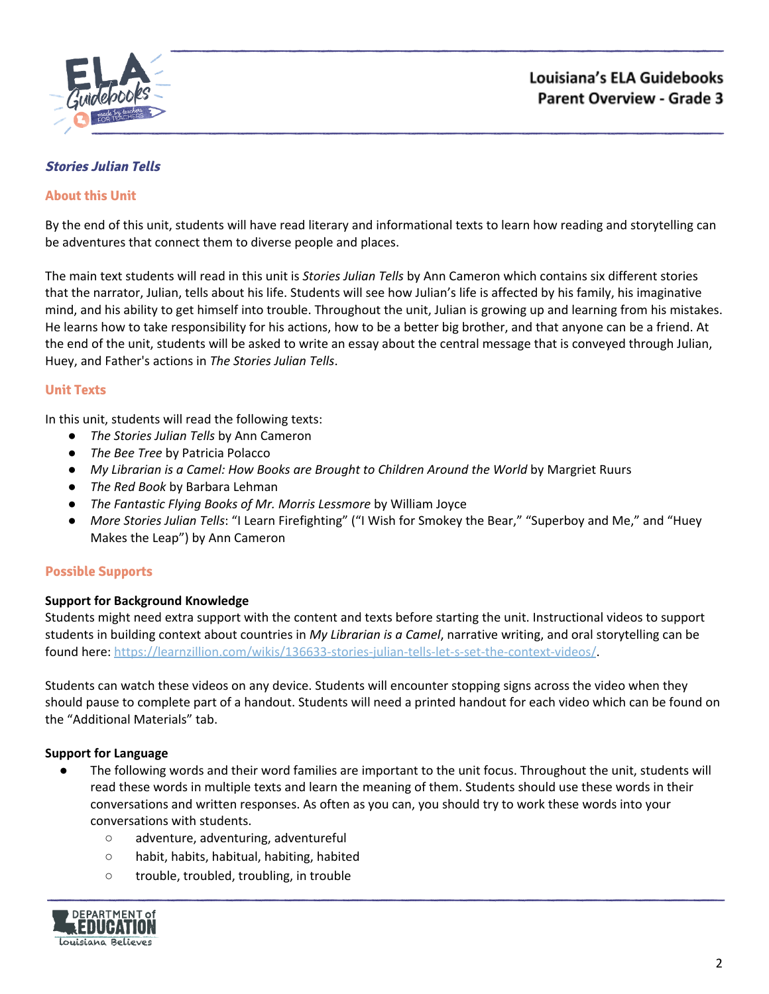

## <span id="page-1-0"></span>**Stories Julian Tells**

### **About this Unit**

By the end of this unit, students will have read literary and informational texts to learn how reading and storytelling can be adventures that connect them to diverse people and places.

The main text students will read in this unit is *Stories Julian Tells* by Ann Cameron which contains six different stories that the narrator, Julian, tells about his life. Students will see how Julian's life is affected by his family, his imaginative mind, and his ability to get himself into trouble. Throughout the unit, Julian is growing up and learning from his mistakes. He learns how to take responsibility for his actions, how to be a better big brother, and that anyone can be a friend. At the end of the unit, students will be asked to write an essay about the central message that is conveyed through Julian, Huey, and Father's actions in *The Stories Julian Tells*.

### **Unit Texts**

In this unit, students will read the following texts:

- *The Stories Julian Tells* by Ann Cameron
- *The Bee Tree* by Patricia Polacco
- *My Librarian is a Camel: How Books are Brought to Children Around the World* by Margriet Ruurs
- *The Red Book* by Barbara Lehman
- *The Fantastic Flying Books of Mr. Morris Lessmore* by William Joyce
- *More Stories Julian Tells*: "I Learn Firefighting" ("I Wish for Smokey the Bear," "Superboy and Me," and "Huey Makes the Leap") by Ann Cameron

## **Possible Supports**

### **Support for Background Knowledge**

Students might need extra support with the content and texts before starting the unit. Instructional videos to support students in building context about countries in *My Librarian is a Camel*, narrative writing, and oral storytelling can be found here: [https://learnzillion.com/wikis/136633-stories-julian-tells-let-s-set-the-context-videos/.](https://learnzillion.com/wikis/136633-stories-julian-tells-let-s-set-the-context-videos/)

Students can watch these videos on any device. Students will encounter stopping signs across the video when they should pause to complete part of a handout. Students will need a printed handout for each video which can be found on the "Additional Materials" tab.

### **Support for Language**

- The following words and their word families are important to the unit focus. Throughout the unit, students will read these words in multiple texts and learn the meaning of them. Students should use these words in their conversations and written responses. As often as you can, you should try to work these words into your conversations with students.
	- adventure, adventuring, adventureful
	- habit, habits, habitual, habiting, habited
	- trouble, troubled, troubling, in trouble

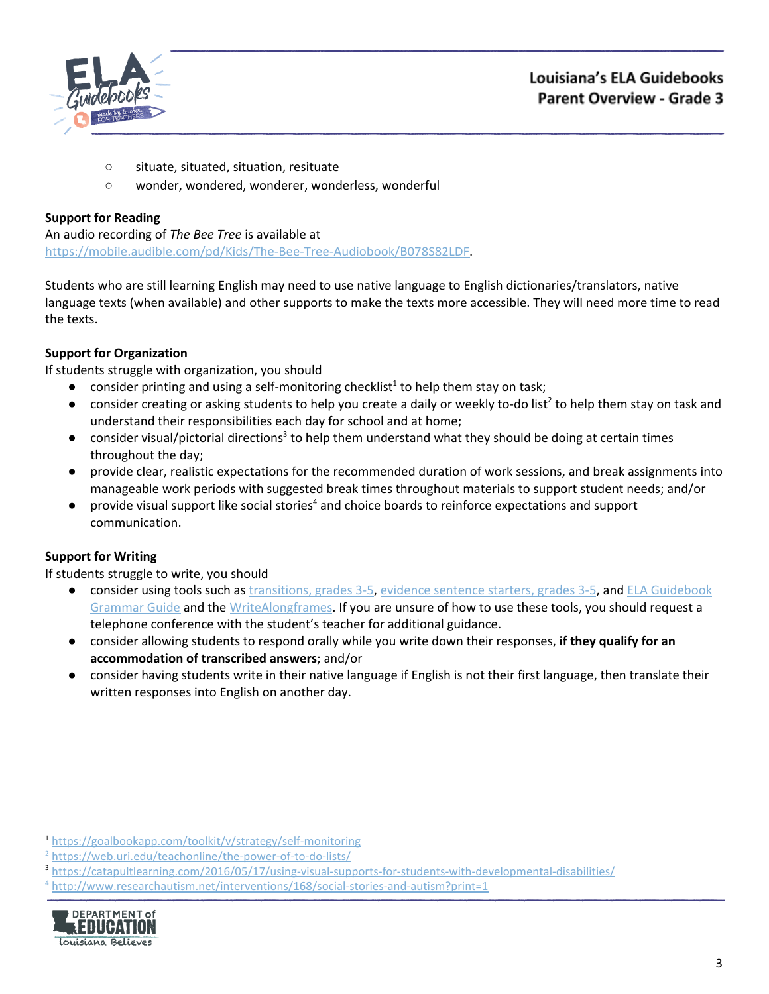

- situate, situated, situation, resituate
- wonder, wondered, wonderer, wonderless, wonderful

An audio recording of *The Bee Tree* is available at [https://mobile.audible.com/pd/Kids/The-Bee-Tree-Audiobook/B078S82LDF.](https://mobile.audible.com/pd/Kids/The-Bee-Tree-Audiobook/B078S82LDF)

Students who are still learning English may need to use native language to English dictionaries/translators, native language texts (when available) and other supports to make the texts more accessible. They will need more time to read the texts.

# **Support for Organization**

If students struggle with organization, you should

- $\bullet$  consider printing and using a self-monitoring checklist<sup>1</sup> to help them stay on task;
- $\bullet$  consider creating or asking students to help you create a daily or weekly to-do list<sup>2</sup> to help them stay on task and understand their responsibilities each day for school and at home;
- $\bullet$  consider visual/pictorial directions<sup>3</sup> to help them understand what they should be doing at certain times throughout the day;
- provide clear, realistic expectations for the recommended duration of work sessions, and break assignments into manageable work periods with suggested break times throughout materials to support student needs; and/or
- $\bullet$  provide visual support like social stories<sup>4</sup> and choice boards to reinforce expectations and support communication.

# **Support for Writing**

- consider using tools such as [transitions,](https://learnzillion.com/resources/157892/) grades 3-5, evidence [sentence](https://learnzillion.com/resources/157864/) starters, grades 3-5, and ELA [Guidebook](https://learnzillion.com/resources/81043) [Grammar](https://learnzillion.com/resources/81043) Guide and th[e](https://learnzillion.com/resources/39149-writealong) [WriteAlong](https://learnzillion.com/resources/39149-writealong)[frames.](https://learnzillion.com/resources/116858/) If you are unsure of how to use these tools, you should request a telephone conference with the student's teacher for additional guidance.
- consider allowing students to respond orally while you write down their responses, **if they qualify for an accommodation of transcribed answers**; and/or
- **●** consider having students write in their native language if English is not their first language, then translate their written responses into English on another day.

<sup>4</sup> <http://www.researchautism.net/interventions/168/social-stories-and-autism?print=1>



<sup>1</sup> <https://goalbookapp.com/toolkit/v/strategy/self-monitoring>

<sup>&</sup>lt;sup>2</sup> <https://web.uri.edu/teachonline/the-power-of-to-do-lists/>

<sup>3</sup> <https://catapultlearning.com/2016/05/17/using-visual-supports-for-students-with-developmental-disabilities/>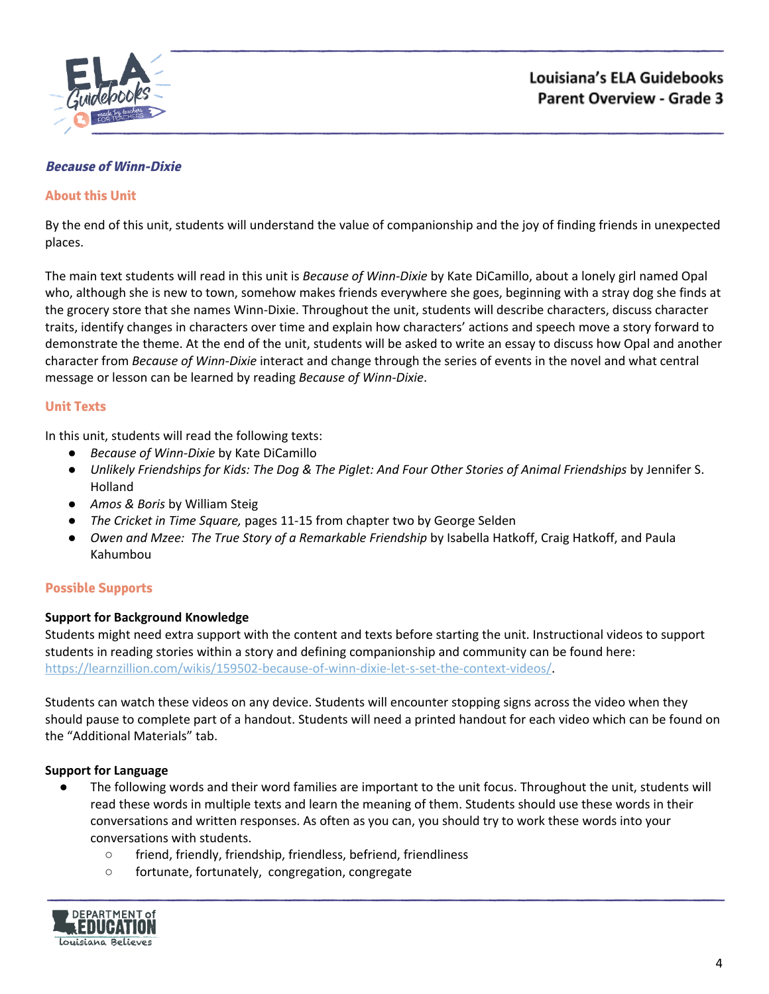

### <span id="page-3-0"></span>**Because of Winn-Dixie**

### **About this Unit**

By the end of this unit, students will understand the value of companionship and the joy of finding friends in unexpected places.

The main text students will read in this unit is *Because of Winn-Dixie* by Kate DiCamillo, about a lonely girl named Opal who, although she is new to town, somehow makes friends everywhere she goes, beginning with a stray dog she finds at the grocery store that she names Winn-Dixie. Throughout the unit, students will describe characters, discuss character traits, identify changes in characters over time and explain how characters' actions and speech move a story forward to demonstrate the theme. At the end of the unit, students will be asked to write an essay to discuss how Opal and another character from *Because of Winn-Dixie* interact and change through the series of events in the novel and what central message or lesson can be learned by reading *Because of Winn-Dixie*.

### **Unit Texts**

In this unit, students will read the following texts:

- *Because of Winn-Dixie* by Kate DiCamillo
- Unlikely Friendships for Kids: The Dog & The Piglet: And Four Other Stories of Animal Friendships by Jennifer S. Holland
- *Amos & Boris* by William Steig
- *The Cricket in Time Square,* pages 11-15 from chapter two by George Selden
- *Owen and Mzee: The True Story of a Remarkable Friendship* by Isabella Hatkoff, Craig Hatkoff, and Paula Kahumbou

## **Possible Supports**

### **Support for Background Knowledge**

Students might need extra support with the content and texts before starting the unit. Instructional videos to support students in reading stories within a story and defining companionship and community can be found here: [https://learnzillion.com/wikis/159502-because-of-winn-dixie-let-s-set-the-context-videos/.](https://learnzillion.com/wikis/159502-because-of-winn-dixie-let-s-set-the-context-videos/)

Students can watch these videos on any device. Students will encounter stopping signs across the video when they should pause to complete part of a handout. Students will need a printed handout for each video which can be found on the "Additional Materials" tab.

### **Support for Language**

- The following words and their word families are important to the unit focus. Throughout the unit, students will read these words in multiple texts and learn the meaning of them. Students should use these words in their conversations and written responses. As often as you can, you should try to work these words into your conversations with students.
	- friend, friendly, friendship, friendless, befriend, friendliness
	- fortunate, fortunately, congregation, congregate

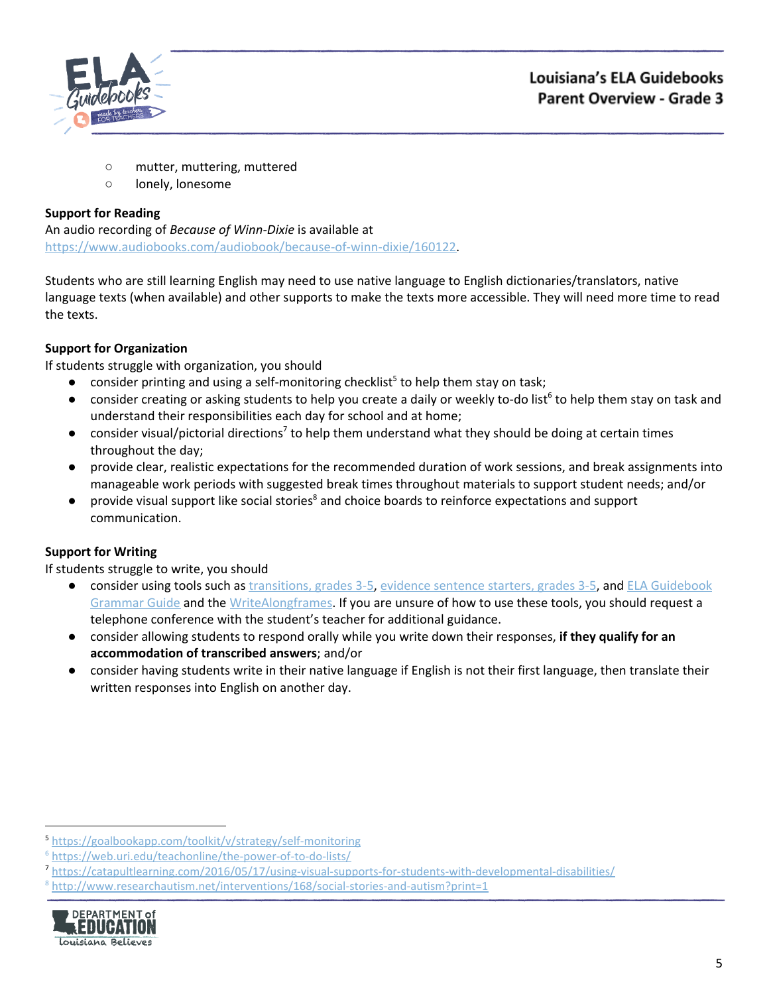

- mutter, muttering, muttered
- lonely, lonesome

An audio recording of *Because of Winn-Dixie* is available at [https://www.audiobooks.com/audiobook/because-of-winn-dixie/160122.](https://www.audiobooks.com/audiobook/because-of-winn-dixie/160122)

Students who are still learning English may need to use native language to English dictionaries/translators, native language texts (when available) and other supports to make the texts more accessible. They will need more time to read the texts.

# **Support for Organization**

If students struggle with organization, you should

- $\bullet$  consider printing and using a self-monitoring checklist<sup>5</sup> to help them stay on task;
- $\bullet$  consider creating or asking students to help you create a daily or weekly to-do list<sup>6</sup> to help them stay on task and understand their responsibilities each day for school and at home;
- $\bullet$  consider visual/pictorial directions<sup>7</sup> to help them understand what they should be doing at certain times throughout the day;
- provide clear, realistic expectations for the recommended duration of work sessions, and break assignments into manageable work periods with suggested break times throughout materials to support student needs; and/or
- provide visual support like social stories<sup>8</sup> and choice boards to reinforce expectations and support communication.

# **Support for Writing**

- consider using tools such as [transitions,](https://learnzillion.com/resources/157892/) grades 3-5, evidence [sentence](https://learnzillion.com/resources/157864/) starters, grades 3-5, and ELA [Guidebook](https://learnzillion.com/resources/81043) [Grammar](https://learnzillion.com/resources/81043) Guide and th[e](https://learnzillion.com/resources/39149-writealong) [WriteAlong](https://learnzillion.com/resources/39149-writealong)[frames.](https://learnzillion.com/resources/116858/) If you are unsure of how to use these tools, you should request a telephone conference with the student's teacher for additional guidance.
- consider allowing students to respond orally while you write down their responses, **if they qualify for an accommodation of transcribed answers**; and/or
- **●** consider having students write in their native language if English is not their first language, then translate their written responses into English on another day.

<sup>8</sup> <http://www.researchautism.net/interventions/168/social-stories-and-autism?print=1>



<sup>5</sup> <https://goalbookapp.com/toolkit/v/strategy/self-monitoring>

<sup>6</sup> <https://web.uri.edu/teachonline/the-power-of-to-do-lists/>

<sup>7</sup> <https://catapultlearning.com/2016/05/17/using-visual-supports-for-students-with-developmental-disabilities/>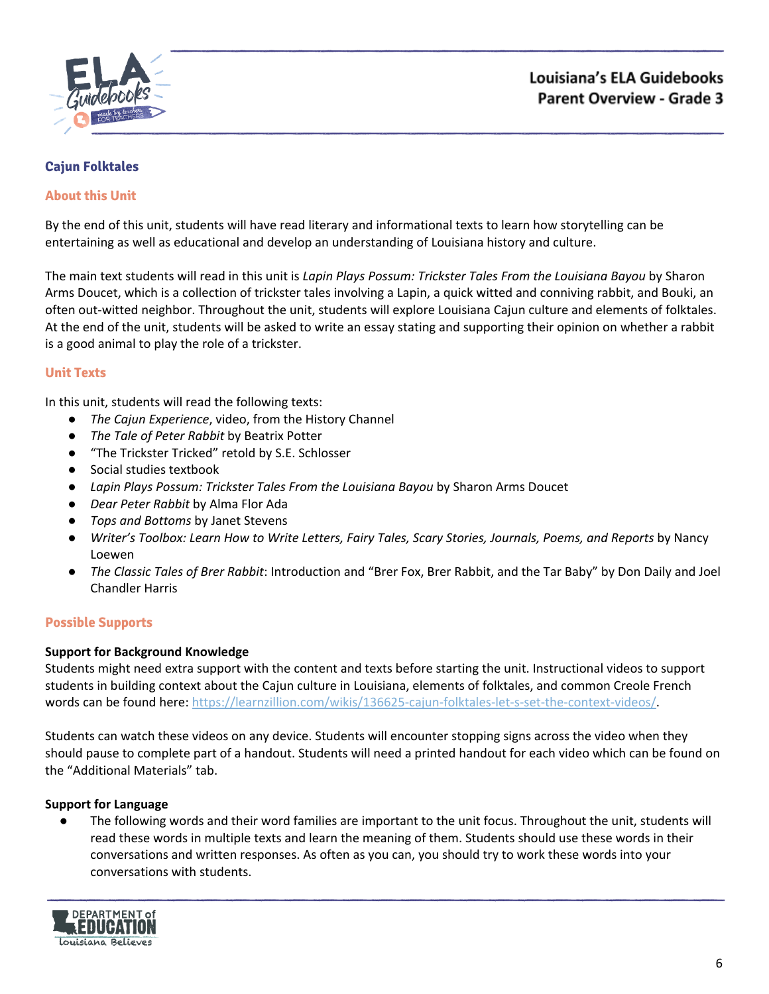

# <span id="page-5-0"></span>**Cajun Folktales**

## **About this Unit**

By the end of this unit, students will have read literary and informational texts to learn how storytelling can be entertaining as well as educational and develop an understanding of Louisiana history and culture.

The main text students will read in this unit is *Lapin Plays Possum: Trickster Tales From the Louisiana Bayou* by Sharon Arms Doucet, which is a collection of trickster tales involving a Lapin, a quick witted and conniving rabbit, and Bouki, an often out-witted neighbor. Throughout the unit, students will explore Louisiana Cajun culture and elements of folktales. At the end of the unit, students will be asked to write an essay stating and supporting their opinion on whether a rabbit is a good animal to play the role of a trickster.

## **Unit Texts**

In this unit, students will read the following texts:

- *The Cajun Experience*, video, from the History Channel
- *The Tale of Peter Rabbit* by Beatrix Potter
- "The Trickster Tricked" retold by S.E. Schlosser
- Social studies textbook
- *Lapin Plays Possum: Trickster Tales From the Louisiana Bayou* by Sharon Arms Doucet
- *Dear Peter Rabbit* by Alma Flor Ada
- *Tops and Bottoms* by Janet Stevens
- *Writer's Toolbox: Learn How to Write Letters, Fairy Tales, Scary Stories, Journals, Poems, and Reports* by Nancy Loewen
- *The Classic Tales of Brer Rabbit*: Introduction and "Brer Fox, Brer Rabbit, and the Tar Baby" by Don Daily and Joel Chandler Harris

## **Possible Supports**

### **Support for Background Knowledge**

Students might need extra support with the content and texts before starting the unit. Instructional videos to support students in building context about the Cajun culture in Louisiana, elements of folktales, and common Creole French words can be found here: [https://learnzillion.com/wikis/136625-cajun-folktales-let-s-set-the-context-videos/.](https://learnzillion.com/wikis/136625-cajun-folktales-let-s-set-the-context-videos/)

Students can watch these videos on any device. Students will encounter stopping signs across the video when they should pause to complete part of a handout. Students will need a printed handout for each video which can be found on the "Additional Materials" tab.

### **Support for Language**

The following words and their word families are important to the unit focus. Throughout the unit, students will read these words in multiple texts and learn the meaning of them. Students should use these words in their conversations and written responses. As often as you can, you should try to work these words into your conversations with students.

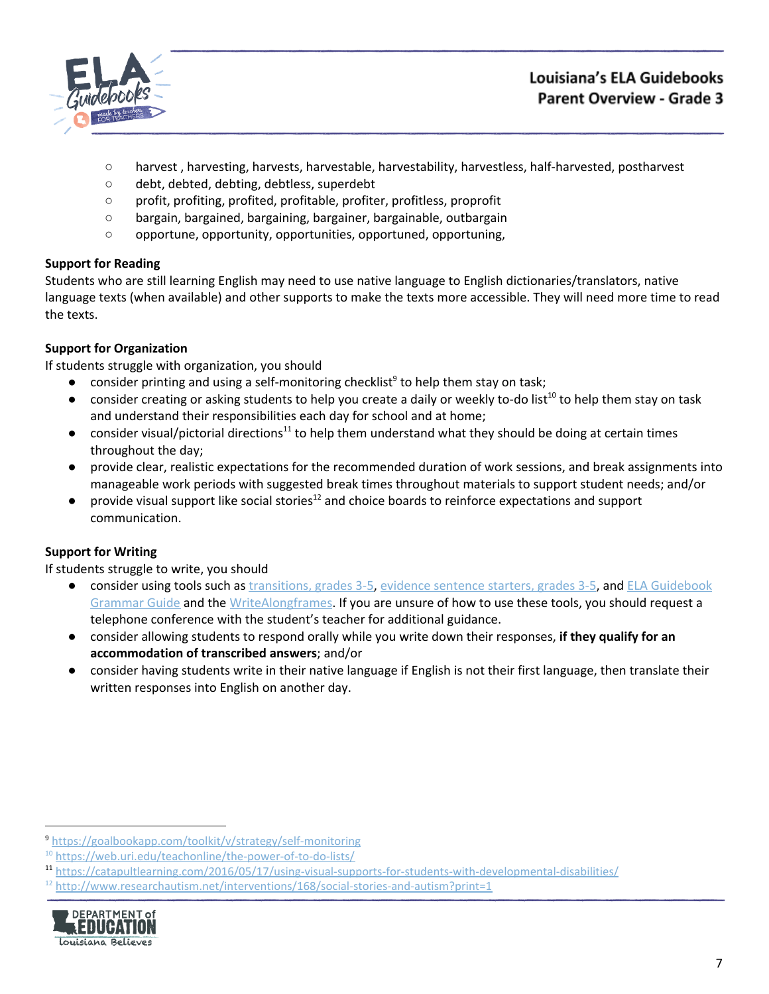

# Louisiana's ELA Guidebooks **Parent Overview - Grade 3**

- harvest , harvesting, harvests, harvestable, harvestability, harvestless, half-harvested, postharvest
- debt, debted, debting, debtless, superdebt
- profit, profiting, profited, profitable, profiter, profitless, proprofit
- bargain, bargained, bargaining, bargainer, bargainable, outbargain
- opportune, opportunity, opportunities, opportuned, opportuning,

## **Support for Reading**

Students who are still learning English may need to use native language to English dictionaries/translators, native language texts (when available) and other supports to make the texts more accessible. They will need more time to read the texts.

# **Support for Organization**

If students struggle with organization, you should

- $\bullet$  consider printing and using a self-monitoring checklist<sup>9</sup> to help them stay on task;
- $\bullet$  consider creating or asking students to help you create a daily or weekly to-do list<sup>10</sup> to help them stay on task and understand their responsibilities each day for school and at home;
- consider visual/pictorial directions<sup>11</sup> to help them understand what they should be doing at certain times throughout the day;
- provide clear, realistic expectations for the recommended duration of work sessions, and break assignments into manageable work periods with suggested break times throughout materials to support student needs; and/or
- $\bullet$  provide visual support like social stories<sup>12</sup> and choice boards to reinforce expectations and support communication.

# **Support for Writing**

- consider using tools such as [transitions,](https://learnzillion.com/resources/157892/) grades 3-5, evidence [sentence](https://learnzillion.com/resources/157864/) starters, grades 3-5, and ELA [Guidebook](https://learnzillion.com/resources/81043) [Grammar](https://learnzillion.com/resources/81043) Guide and th[e](https://learnzillion.com/resources/39149-writealong) [WriteAlong](https://learnzillion.com/resources/39149-writealong)[frames.](https://learnzillion.com/resources/116858/) If you are unsure of how to use these tools, you should request a telephone conference with the student's teacher for additional guidance.
- consider allowing students to respond orally while you write down their responses, **if they qualify for an accommodation of transcribed answers**; and/or
- **●** consider having students write in their native language if English is not their first language, then translate their written responses into English on another day.

 $12$  <http://www.researchautism.net/interventions/168/social-stories-and-autism?print=1>



<sup>9</sup> <https://goalbookapp.com/toolkit/v/strategy/self-monitoring>

<sup>&</sup>lt;sup>10</sup> <https://web.uri.edu/teachonline/the-power-of-to-do-lists/>

<sup>11</sup> <https://catapultlearning.com/2016/05/17/using-visual-supports-for-students-with-developmental-disabilities/>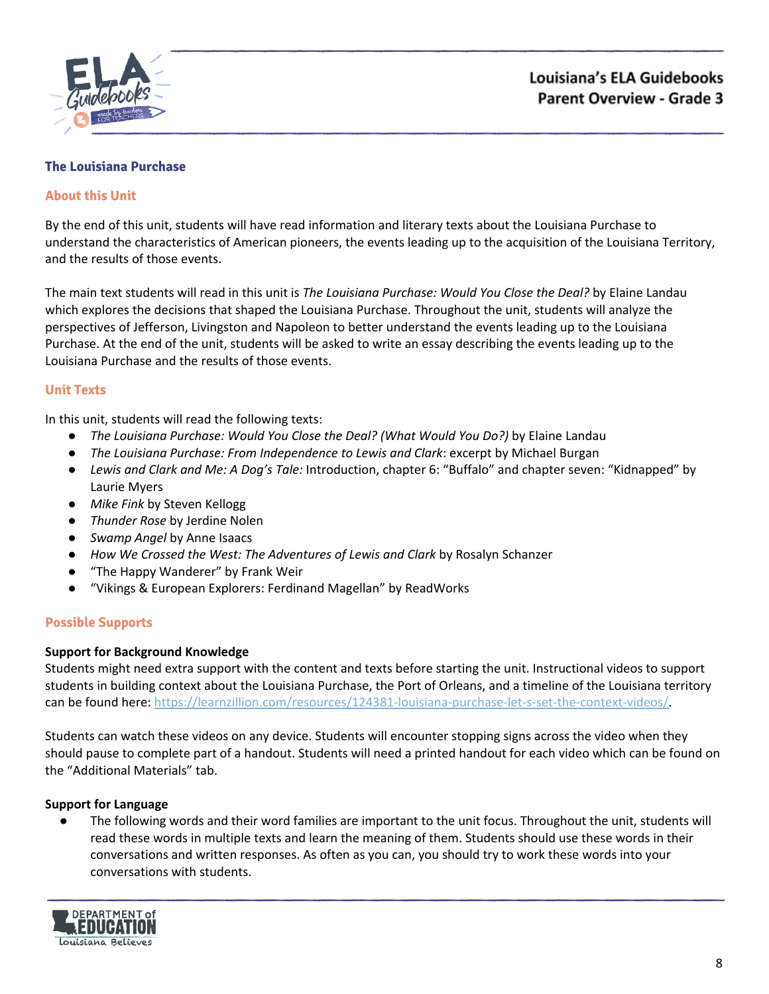

### <span id="page-7-0"></span>**The Louisiana Purchase**

### **About this Unit**

By the end of this unit, students will have read information and literary texts about the Louisiana Purchase to understand the characteristics of American pioneers, the events leading up to the acquisition of the Louisiana Territory, and the results of those events.

The main text students will read in this unit is *The Louisiana Purchase: Would You Close the Deal?* by Elaine Landau which explores the decisions that shaped the Louisiana Purchase. Throughout the unit, students will analyze the perspectives of Jefferson, Livingston and Napoleon to better understand the events leading up to the Louisiana Purchase. At the end of the unit, students will be asked to write an essay describing the events leading up to the Louisiana Purchase and the results of those events.

### **Unit Texts**

In this unit, students will read the following texts:

- *The Louisiana Purchase: Would You Close the Deal? (What Would You Do?)* by Elaine Landau
- *The Louisiana Purchase: From Independence to Lewis and Clark*: excerpt by Michael Burgan
- *Lewis and Clark and Me: A Dog's Tale:* Introduction, chapter 6: "Buffalo" and chapter seven: "Kidnapped" by Laurie Myers
- *Mike Fink* by Steven Kellogg
- *Thunder Rose* by Jerdine Nolen
- *Swamp Angel* by Anne Isaacs
- *How We Crossed the West: The Adventures of Lewis and Clark* by Rosalyn Schanzer
- "The Happy Wanderer" by Frank Weir
- "Vikings & European Explorers: Ferdinand Magellan" by ReadWorks

### **Possible Supports**

### **Support for Background Knowledge**

Students might need extra support with the content and texts before starting the unit. Instructional videos to support students in building context about the Louisiana Purchase, the Port of Orleans, and a timeline of the Louisiana territory can be found here: <https://learnzillion.com/resources/124381-louisiana-purchase-let-s-set-the-context-videos/>.

Students can watch these videos on any device. Students will encounter stopping signs across the video when they should pause to complete part of a handout. Students will need a printed handout for each video which can be found on the "Additional Materials" tab.

### **Support for Language**

The following words and their word families are important to the unit focus. Throughout the unit, students will read these words in multiple texts and learn the meaning of them. Students should use these words in their conversations and written responses. As often as you can, you should try to work these words into your conversations with students.

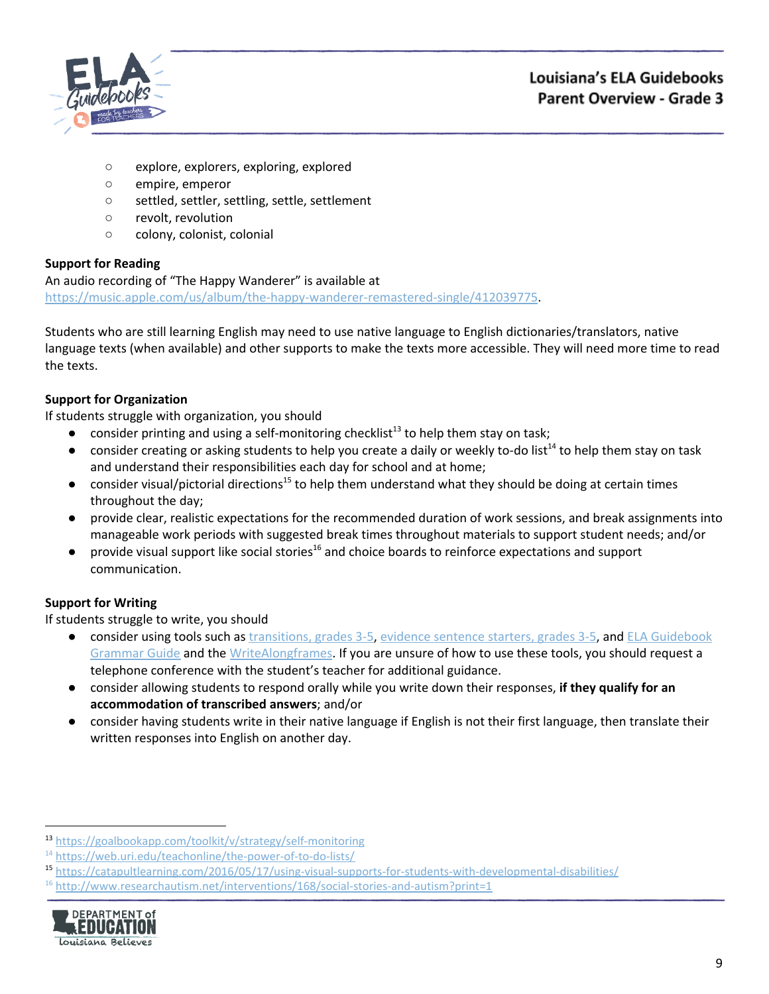

- explore, explorers, exploring, explored
- empire, emperor
- settled, settler, settling, settle, settlement
- revolt, revolution
- colony, colonist, colonial

An audio recording of "The Happy Wanderer" is available at <https://music.apple.com/us/album/the-happy-wanderer-remastered-single/412039775>.

Students who are still learning English may need to use native language to English dictionaries/translators, native language texts (when available) and other supports to make the texts more accessible. They will need more time to read the texts.

## **Support for Organization**

If students struggle with organization, you should

- $\bullet$  consider printing and using a self-monitoring checklist<sup>13</sup> to help them stay on task;
- $\bullet$  consider creating or asking students to help you create a daily or weekly to-do list<sup>14</sup> to help them stay on task and understand their responsibilities each day for school and at home;
- $\bullet$  consider visual/pictorial directions<sup>15</sup> to help them understand what they should be doing at certain times throughout the day;
- provide clear, realistic expectations for the recommended duration of work sessions, and break assignments into manageable work periods with suggested break times throughout materials to support student needs; and/or
- $\bullet$  provide visual support like social stories<sup>16</sup> and choice boards to reinforce expectations and support communication.

## **Support for Writing**

- consider using tools such as [transitions,](https://learnzillion.com/resources/157892/) grades 3-5, evidence [sentence](https://learnzillion.com/resources/157864/) starters, grades 3-5, and ELA [Guidebook](https://learnzillion.com/resources/81043) [Grammar](https://learnzillion.com/resources/81043) Guide and th[e](https://learnzillion.com/resources/39149-writealong) [WriteAlong](https://learnzillion.com/resources/39149-writealong)[frames.](https://learnzillion.com/resources/116858/) If you are unsure of how to use these tools, you should request a telephone conference with the student's teacher for additional guidance.
- consider allowing students to respond orally while you write down their responses, **if they qualify for an accommodation of transcribed answers**; and/or
- **●** consider having students write in their native language if English is not their first language, then translate their written responses into English on another day.

 $16$  <http://www.researchautism.net/interventions/168/social-stories-and-autism?print=1>



<sup>13</sup> <https://goalbookapp.com/toolkit/v/strategy/self-monitoring>

<sup>&</sup>lt;sup>14</sup> <https://web.uri.edu/teachonline/the-power-of-to-do-lists/>

<sup>15</sup> <https://catapultlearning.com/2016/05/17/using-visual-supports-for-students-with-developmental-disabilities/>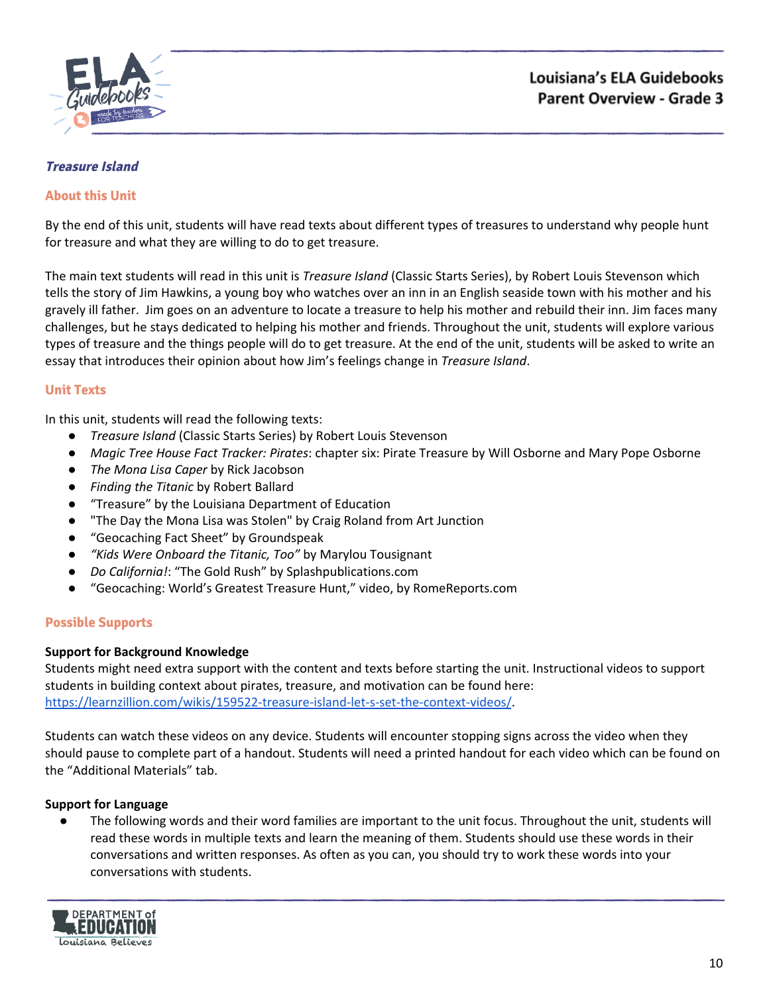

# <span id="page-9-0"></span>**Treasure Island**

### **About this Unit**

By the end of this unit, students will have read texts about different types of treasures to understand why people hunt for treasure and what they are willing to do to get treasure.

The main text students will read in this unit is *Treasure Island* (Classic Starts Series), by Robert Louis Stevenson which tells the story of Jim Hawkins, a young boy who watches over an inn in an English seaside town with his mother and his gravely ill father. Jim goes on an adventure to locate a treasure to help his mother and rebuild their inn. Jim faces many challenges, but he stays dedicated to helping his mother and friends. Throughout the unit, students will explore various types of treasure and the things people will do to get treasure. At the end of the unit, students will be asked to write an essay that introduces their opinion about how Jim's feelings change in *Treasure Island*.

### **Unit Texts**

In this unit, students will read the following texts:

- *Treasure Island* (Classic Starts Series) by Robert Louis Stevenson
- *Magic Tree House Fact Tracker: Pirates*: chapter six: Pirate Treasure by Will Osborne and Mary Pope Osborne
- *The Mona Lisa Caper* by Rick Jacobson
- *Finding the Titanic* by Robert Ballard
- "Treasure" by the Louisiana Department of Education
- "The Day the Mona Lisa was Stolen" by Craig Roland from Art Junction
- "Geocaching Fact Sheet" by Groundspeak
- *● "Kids Were Onboard the Titanic, Too"* by Marylou Tousignant
- *● Do California!*: "The Gold Rush" by Splashpublications.com
- "Geocaching: World's Greatest Treasure Hunt," video, by RomeReports.com

### **Possible Supports**

### **Support for Background Knowledge**

Students might need extra support with the content and texts before starting the unit. Instructional videos to support students in building context about pirates, treasure, and motivation can be found here: <https://learnzillion.com/wikis/159522-treasure-island-let-s-set-the-context-videos/>.

Students can watch these videos on any device. Students will encounter stopping signs across the video when they should pause to complete part of a handout. Students will need a printed handout for each video which can be found on the "Additional Materials" tab.

### **Support for Language**

The following words and their word families are important to the unit focus. Throughout the unit, students will read these words in multiple texts and learn the meaning of them. Students should use these words in their conversations and written responses. As often as you can, you should try to work these words into your conversations with students.